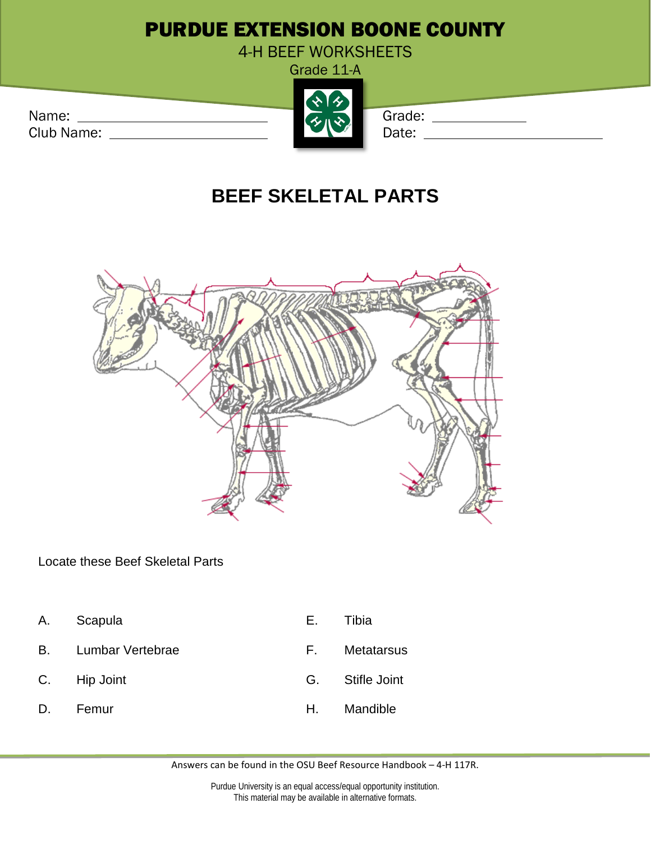## PURDUE EXTENSION BOONE COUNTY

4-H BEEF WORKSHEETS

Grade 11-A

Club Name: Date: Date: Date: Date: Date: Date: Date: Date: Date: Date: Date: Date: Date: Date: Date: Date: Date: Date: Date: Date: Date: Date: Date: Date: Date: Date: Date: Date: Date: Date: Date: Date: Date: Date: Date: D



## **BEEF SKELETAL PARTS**



Locate these Beef Skeletal Parts

- A. Scapula E. Tibia
- B. Lumbar Vertebrae **E.** Metatarsus
- 
- 
- 
- 
- C. Hip Joint G. Stifle Joint
- D. Femur **H. Mandible**